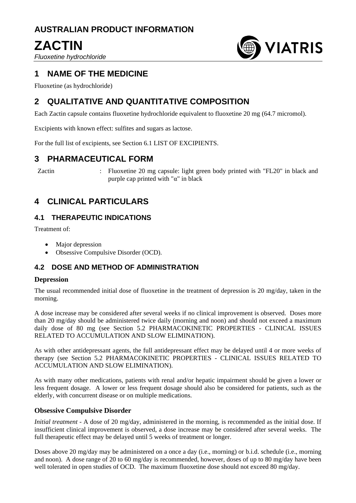# **AUSTRALIAN PRODUCT INFORMATION**

# **ZACTIN**

*Fluoxetine hydrochloride*



# **1 NAME OF THE MEDICINE**

Fluoxetine (as hydrochloride)

# **2 QUALITATIVE AND QUANTITATIVE COMPOSITION**

Each Zactin capsule contains fluoxetine hydrochloride equivalent to fluoxetine 20 mg (64.7 micromol).

Excipients with known effect: sulfites and sugars as lactose.

For the full list of excipients, see Section 6.1 LIST OF EXCIPIENTS.

### **3 PHARMACEUTICAL FORM**

Zactin : Fluoxetine 20 mg capsule: light green body printed with "FL20" in black and purple cap printed with " $\alpha$ " in black

# **4 CLINICAL PARTICULARS**

### **4.1 THERAPEUTIC INDICATIONS**

Treatment of:

- Major depression
- Obsessive Compulsive Disorder (OCD).

### **4.2 DOSE AND METHOD OF ADMINISTRATION**

#### **Depression**

The usual recommended initial dose of fluoxetine in the treatment of depression is 20 mg/day, taken in the morning.

A dose increase may be considered after several weeks if no clinical improvement is observed. Doses more than 20 mg/day should be administered twice daily (morning and noon) and should not exceed a maximum daily dose of 80 mg (see Section 5.2 PHARMACOKINETIC PROPERTIES - CLINICAL ISSUES RELATED TO ACCUMULATION AND SLOW ELIMINATION).

As with other antidepressant agents, the full antidepressant effect may be delayed until 4 or more weeks of therapy (see Section 5.2 PHARMACOKINETIC PROPERTIES - CLINICAL ISSUES RELATED TO ACCUMULATION AND SLOW ELIMINATION).

As with many other medications, patients with renal and/or hepatic impairment should be given a lower or less frequent dosage. A lower or less frequent dosage should also be considered for patients, such as the elderly, with concurrent disease or on multiple medications.

#### **Obsessive Compulsive Disorder**

*Initial treatment -* A dose of 20 mg/day, administered in the morning, is recommended as the initial dose. If insufficient clinical improvement is observed, a dose increase may be considered after several weeks. The full therapeutic effect may be delayed until 5 weeks of treatment or longer.

Doses above 20 mg/day may be administered on a once a day (i.e., morning) or b.i.d. schedule (i.e., morning and noon). A dose range of 20 to 60 mg/day is recommended, however, doses of up to 80 mg/day have been well tolerated in open studies of OCD. The maximum fluoxetine dose should not exceed 80 mg/day.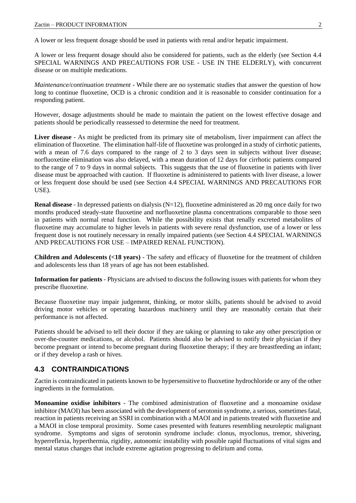A lower or less frequent dosage should be used in patients with renal and/or hepatic impairment.

A lower or less frequent dosage should also be considered for patients, such as the elderly (see Section 4.4 SPECIAL WARNINGS AND PRECAUTIONS FOR USE - USE IN THE ELDERLY), with concurrent disease or on multiple medications.

*Maintenance/continuation treatment -* While there are no systematic studies that answer the question of how long to continue fluoxetine, OCD is a chronic condition and it is reasonable to consider continuation for a responding patient.

However, dosage adjustments should be made to maintain the patient on the lowest effective dosage and patients should be periodically reassessed to determine the need for treatment.

**Liver disease** - As might be predicted from its primary site of metabolism, liver impairment can affect the elimination of fluoxetine. The elimination half-life of fluoxetine was prolonged in a study of cirrhotic patients, with a mean of 7.6 days compared to the range of 2 to 3 days seen in subjects without liver disease; norfluoxetine elimination was also delayed, with a mean duration of 12 days for cirrhotic patients compared to the range of 7 to 9 days in normal subjects. This suggests that the use of fluoxetine in patients with liver disease must be approached with caution. If fluoxetine is administered to patients with liver disease, a lower or less frequent dose should be used (see Section 4.4 SPECIAL WARNINGS AND PRECAUTIONS FOR USE).

**Renal disease** - In depressed patients on dialysis (N=12), fluoxetine administered as 20 mg once daily for two months produced steady-state fluoxetine and norfluoxetine plasma concentrations comparable to those seen in patients with normal renal function. While the possibility exists that renally excreted metabolites of fluoxetine may accumulate to higher levels in patients with severe renal dysfunction, use of a lower or less frequent dose is not routinely necessary in renally impaired patients (see Section 4.4 SPECIAL WARNINGS AND PRECAUTIONS FOR USE – IMPAIRED RENAL FUNCTION).

**Children and Adolescents (<18 years)** - The safety and efficacy of fluoxetine for the treatment of children and adolescents less than 18 years of age has not been established.

**Information for patients** - Physicians are advised to discuss the following issues with patients for whom they prescribe fluoxetine.

Because fluoxetine may impair judgement, thinking, or motor skills, patients should be advised to avoid driving motor vehicles or operating hazardous machinery until they are reasonably certain that their performance is not affected.

Patients should be advised to tell their doctor if they are taking or planning to take any other prescription or over-the-counter medications, or alcohol. Patients should also be advised to notify their physician if they become pregnant or intend to become pregnant during fluoxetine therapy; if they are breastfeeding an infant; or if they develop a rash or hives.

#### **4.3 CONTRAINDICATIONS**

Zactin is contraindicated in patients known to be hypersensitive to fluoxetine hydrochloride or any of the other ingredients in the formulation.

**Monoamine oxidise inhibitors** - The combined administration of fluoxetine and a monoamine oxidase inhibitor (MAOI) has been associated with the development of serotonin syndrome, a serious, sometimes fatal, reaction in patients receiving an SSRI in combination with a MAOI and in patients treated with fluoxetine and a MAOI in close temporal proximity. Some cases presented with features resembling neuroleptic malignant syndrome. Symptoms and signs of serotonin syndrome include: clonus, myoclonus, tremor, shivering, hyperreflexia, hyperthermia, rigidity, autonomic instability with possible rapid fluctuations of vital signs and mental status changes that include extreme agitation progressing to delirium and coma.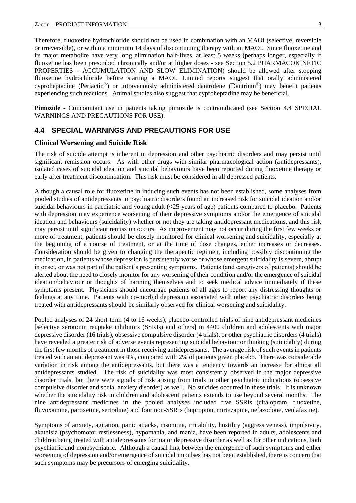Therefore, fluoxetine hydrochloride should not be used in combination with an MAOI (selective, reversible or irreversible), or within a minimum 14 days of discontinuing therapy with an MAOI. Since fluoxetine and its major metabolite have very long elimination half-lives, at least 5 weeks (perhaps longer, especially if fluoxetine has been prescribed chronically and/or at higher doses - see Section 5.2 PHARMACOKINETIC PROPERTIES - ACCUMULATION AND SLOW ELIMINATION) should be allowed after stopping fluoxetine hydrochloride before starting a MAOI. Limited reports suggest that orally administered cyproheptadine (Periactin®) or intravenously administered dantrolene (Dantrium®) may benefit patients experiencing such reactions. Animal studies also suggest that cyproheptadine may be beneficial.

**Pimozide** - Concomitant use in patients taking pimozide is contraindicated (see Section 4.4 SPECIAL WARNINGS AND PRECAUTIONS FOR USE).

#### **4.4 SPECIAL WARNINGS AND PRECAUTIONS FOR USE**

#### **Clinical Worsening and Suicide Risk**

The risk of suicide attempt is inherent in depression and other psychiatric disorders and may persist until significant remission occurs. As with other drugs with similar pharmacological action (antidepressants), isolated cases of suicidal ideation and suicidal behaviours have been reported during fluoxetine therapy or early after treatment discontinuation. This risk must be considered in all depressed patients.

Although a causal role for fluoxetine in inducing such events has not been established, some analyses from pooled studies of antidepressants in psychiatric disorders found an increased risk for suicidal ideation and/or suicidal behaviours in paediatric and young adult (<25 years of age) patients compared to placebo. Patients with depression may experience worsening of their depressive symptoms and/or the emergence of suicidal ideation and behaviours (suicidality) whether or not they are taking antidepressant medications, and this risk may persist until significant remission occurs. As improvement may not occur during the first few weeks or more of treatment, patients should be closely monitored for clinical worsening and suicidality, especially at the beginning of a course of treatment, or at the time of dose changes, either increases or decreases. Consideration should be given to changing the therapeutic regimen, including possibly discontinuing the medication, in patients whose depression is persistently worse or whose emergent suicidality is severe, abrupt in onset, or was not part of the patient's presenting symptoms. Patients (and caregivers of patients) should be alerted about the need to closely monitor for any worsening of their condition and/or the emergence of suicidal ideation/behaviour or thoughts of harming themselves and to seek medical advice immediately if these symptoms present. Physicians should encourage patients of all ages to report any distressing thoughts or feelings at any time. Patients with co-morbid depression associated with other psychiatric disorders being treated with antidepressants should be similarly observed for clinical worsening and suicidality.

Pooled analyses of 24 short-term (4 to 16 weeks), placebo-controlled trials of nine antidepressant medicines [selective serotonin reuptake inhibitors (SSRIs) and others] in 4400 children and adolescents with major depressive disorder (16 trials), obsessive compulsive disorder (4 trials), or other psychiatric disorders (4 trials) have revealed a greater risk of adverse events representing suicidal behaviour or thinking (suicidality) during the first few months of treatment in those receiving antidepressants. The average risk of such events in patients treated with an antidepressant was 4%, compared with 2% of patients given placebo. There was considerable variation in risk among the antidepressants, but there was a tendency towards an increase for almost all antidepressants studied. The risk of suicidality was most consistently observed in the major depressive disorder trials, but there were signals of risk arising from trials in other psychiatric indications (obsessive compulsive disorder and social anxiety disorder) as well. No suicides occurred in these trials. It is unknown whether the suicidality risk in children and adolescent patients extends to use beyond several months. The nine antidepressant medicines in the pooled analyses included five SSRIs (citalopram, fluoxetine, fluvoxamine, paroxetine, sertraline) and four non-SSRIs (bupropion, mirtazapine, nefazodone, venlafaxine).

Symptoms of anxiety, agitation, panic attacks, insomnia, irritability, hostility (aggressiveness), impulsivity, akathisia (psychomotor restlessness), hypomania, and mania, have been reported in adults, adolescents and children being treated with antidepressants for major depressive disorder as well as for other indications, both psychiatric and nonpsychiatric. Although a causal link between the emergence of such symptoms and either worsening of depression and/or emergence of suicidal impulses has not been established, there is concern that such symptoms may be precursors of emerging suicidality.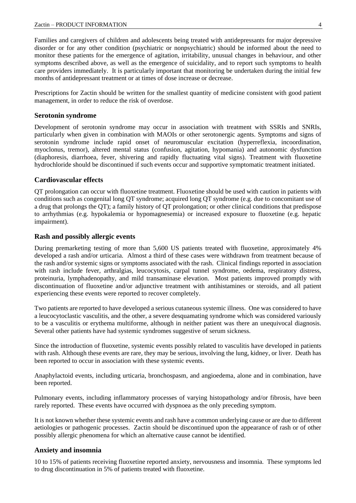Families and caregivers of children and adolescents being treated with antidepressants for major depressive disorder or for any other condition (psychiatric or nonpsychiatric) should be informed about the need to monitor these patients for the emergence of agitation, irritability, unusual changes in behaviour, and other symptoms described above, as well as the emergence of suicidality, and to report such symptoms to health care providers immediately. It is particularly important that monitoring be undertaken during the initial few months of antidepressant treatment or at times of dose increase or decrease.

Prescriptions for Zactin should be written for the smallest quantity of medicine consistent with good patient management, in order to reduce the risk of overdose.

#### **Serotonin syndrome**

Development of serotonin syndrome may occur in association with treatment with SSRIs and SNRIs, particularly when given in combination with MAOIs or other serotonergic agents. Symptoms and signs of serotonin syndrome include rapid onset of neuromuscular excitation (hyperreflexia, incoordination, myoclonus, tremor), altered mental status (confusion, agitation, hypomania) and autonomic dysfunction (diaphoresis, diarrhoea, fever, shivering and rapidly fluctuating vital signs). Treatment with fluoxetine hydrochloride should be discontinued if such events occur and supportive symptomatic treatment initiated.

#### **Cardiovascular effects**

QT prolongation can occur with fluoxetine treatment. Fluoxetine should be used with caution in patients with conditions such as congenital long QT syndrome; acquired long QT syndrome (e.g. due to concomitant use of a drug that prolongs the QT); a family history of QT prolongation; or other clinical conditions that predispose to arrhythmias (e.g. hypokalemia or hypomagnesemia) or increased exposure to fluoxetine (e.g. hepatic impairment).

#### **Rash and possibly allergic events**

During premarketing testing of more than 5,600 US patients treated with fluoxetine, approximately 4% developed a rash and/or urticaria. Almost a third of these cases were withdrawn from treatment because of the rash and/or systemic signs or symptoms associated with the rash. Clinical findings reported in association with rash include fever, arthralgias, leucocytosis, carpal tunnel syndrome, oedema, respiratory distress, proteinuria, lymphadenopathy, and mild transaminase elevation. Most patients improved promptly with discontinuation of fluoxetine and/or adjunctive treatment with antihistamines or steroids, and all patient experiencing these events were reported to recover completely.

Two patients are reported to have developed a serious cutaneous systemic illness. One was considered to have a leucocytoclastic vasculitis, and the other, a severe desquamating syndrome which was considered variously to be a vasculitis or erythema multiforme, although in neither patient was there an unequivocal diagnosis. Several other patients have had systemic syndromes suggestive of serum sickness.

Since the introduction of fluoxetine, systemic events possibly related to vasculitis have developed in patients with rash. Although these events are rare, they may be serious, involving the lung, kidney, or liver. Death has been reported to occur in association with these systemic events.

Anaphylactoid events, including urticaria, bronchospasm, and angioedema, alone and in combination, have been reported.

Pulmonary events, including inflammatory processes of varying histopathology and/or fibrosis, have been rarely reported. These events have occurred with dyspnoea as the only preceding symptom.

It is not known whether these systemic events and rash have a common underlying cause or are due to different aetiologies or pathogenic processes. Zactin should be discontinued upon the appearance of rash or of other possibly allergic phenomena for which an alternative cause cannot be identified.

#### **Anxiety and insomnia**

10 to 15% of patients receiving fluoxetine reported anxiety, nervousness and insomnia. These symptoms led to drug discontinuation in 5% of patients treated with fluoxetine.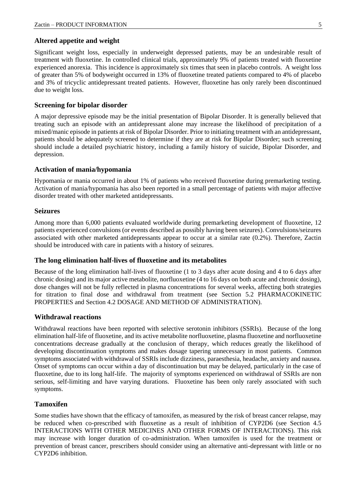#### **Altered appetite and weight**

Significant weight loss, especially in underweight depressed patients, may be an undesirable result of treatment with fluoxetine. In controlled clinical trials, approximately 9% of patients treated with fluoxetine experienced anorexia. This incidence is approximately six times that seen in placebo controls. A weight loss of greater than 5% of bodyweight occurred in 13% of fluoxetine treated patients compared to 4% of placebo and 3% of tricyclic antidepressant treated patients. However, fluoxetine has only rarely been discontinued due to weight loss.

#### **Screening for bipolar disorder**

A major depressive episode may be the initial presentation of Bipolar Disorder. It is generally believed that treating such an episode with an antidepressant alone may increase the likelihood of precipitation of a mixed/manic episode in patients at risk of Bipolar Disorder. Prior to initiating treatment with an antidepressant, patients should be adequately screened to determine if they are at risk for Bipolar Disorder; such screening should include a detailed psychiatric history, including a family history of suicide, Bipolar Disorder, and depression.

#### **Activation of mania/hypomania**

Hypomania or mania occurred in about 1% of patients who received fluoxetine during premarketing testing. Activation of mania/hypomania has also been reported in a small percentage of patients with major affective disorder treated with other marketed antidepressants.

#### **Seizures**

Among more than 6,000 patients evaluated worldwide during premarketing development of fluoxetine, 12 patients experienced convulsions (or events described as possibly having been seizures). Convulsions/seizures associated with other marketed antidepressants appear to occur at a similar rate (0.2%). Therefore, Zactin should be introduced with care in patients with a history of seizures.

#### **The long elimination half-lives of fluoxetine and its metabolites**

Because of the long elimination half-lives of fluoxetine (1 to 3 days after acute dosing and 4 to 6 days after chronic dosing) and its major active metabolite, norfluoxetine (4 to 16 days on both acute and chronic dosing), dose changes will not be fully reflected in plasma concentrations for several weeks, affecting both strategies for titration to final dose and withdrawal from treatment (see Section 5.2 PHARMACOKINETIC PROPERTIES and Section 4.2 DOSAGE AND METHOD OF ADMINISTRATION).

#### **Withdrawal reactions**

Withdrawal reactions have been reported with selective serotonin inhibitors (SSRIs). Because of the long elimination half-life of fluoxetine, and its active metabolite norfluoxetine, plasma fluoxetine and norfluoxetine concentrations decrease gradually at the conclusion of therapy, which reduces greatly the likelihood of developing discontinuation symptoms and makes dosage tapering unnecessary in most patients. Common symptoms associated with withdrawal of SSRIs include dizziness, paraesthesia, headache, anxiety and nausea. Onset of symptoms can occur within a day of discontinuation but may be delayed, particularly in the case of fluoxetine, due to its long half-life. The majority of symptoms experienced on withdrawal of SSRIs are non serious, self-limiting and have varying durations. Fluoxetine has been only rarely associated with such symptoms.

#### **Tamoxifen**

Some studies have shown that the efficacy of tamoxifen, as measured by the risk of breast cancer relapse, may be reduced when co-prescribed with fluoxetine as a result of inhibition of CYP2D6 (see Section 4.5 INTERACTIONS WITH OTHER MEDICINES AND OTHER FORMS OF INTERACTIONS). This risk may increase with longer duration of co-administration. When tamoxifen is used for the treatment or prevention of breast cancer, prescribers should consider using an alternative anti-depressant with little or no CYP2D6 inhibition.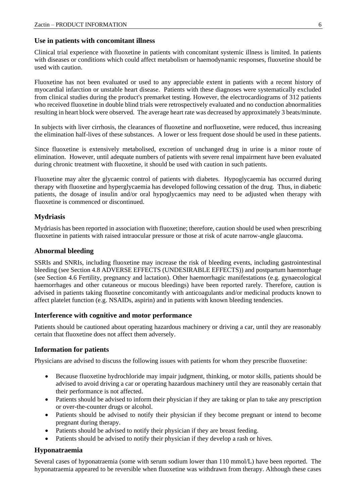#### **Use in patients with concomitant illness**

Clinical trial experience with fluoxetine in patients with concomitant systemic illness is limited. In patients with diseases or conditions which could affect metabolism or haemodynamic responses, fluoxetine should be used with caution.

Fluoxetine has not been evaluated or used to any appreciable extent in patients with a recent history of myocardial infarction or unstable heart disease. Patients with these diagnoses were systematically excluded from clinical studies during the product's premarket testing. However, the electrocardiograms of 312 patients who received fluoxetine in double blind trials were retrospectively evaluated and no conduction abnormalities resulting in heart block were observed. The average heart rate was decreased by approximately 3 beats/minute.

In subjects with liver cirrhosis, the clearances of fluoxetine and norfluoxetine, were reduced, thus increasing the elimination half-lives of these substances. A lower or less frequent dose should be used in these patients.

Since fluoxetine is extensively metabolised, excretion of unchanged drug in urine is a minor route of elimination. However, until adequate numbers of patients with severe renal impairment have been evaluated during chronic treatment with fluoxetine, it should be used with caution in such patients.

Fluoxetine may alter the glycaemic control of patients with diabetes. Hypoglycaemia has occurred during therapy with fluoxetine and hyperglycaemia has developed following cessation of the drug. Thus, in diabetic patients, the dosage of insulin and/or oral hypoglycaemics may need to be adjusted when therapy with fluoxetine is commenced or discontinued.

#### **Mydriasis**

Mydriasis has been reported in association with fluoxetine; therefore, caution should be used when prescribing fluoxetine in patients with raised intraocular pressure or those at risk of acute narrow-angle glaucoma.

#### **Abnormal bleeding**

SSRIs and SNRIs, including fluoxetine may increase the risk of bleeding events, including gastrointestinal bleeding (see Section 4.8 ADVERSE EFFECTS (UNDESIRABLE EFFECTS)) and postpartum haemorrhage (see Section 4.6 Fertility, pregnancy and lactation). Other haemorrhagic manifestations (e.g. gynaecological haemorrhages and other cutaneous or mucous bleedings) have been reported rarely. Therefore, caution is advised in patients taking fluoxetine concomitantly with anticoagulants and/or medicinal products known to affect platelet function (e.g. NSAIDs, aspirin) and in patients with known bleeding tendencies.

#### **Interference with cognitive and motor performance**

Patients should be cautioned about operating hazardous machinery or driving a car, until they are reasonably certain that fluoxetine does not affect them adversely.

#### **Information for patients**

Physicians are advised to discuss the following issues with patients for whom they prescribe fluoxetine:

- Because fluoxetine hydrochloride may impair judgment, thinking, or motor skills, patients should be advised to avoid driving a car or operating hazardous machinery until they are reasonably certain that their performance is not affected.
- Patients should be advised to inform their physician if they are taking or plan to take any prescription or over-the-counter drugs or alcohol.
- Patients should be advised to notify their physician if they become pregnant or intend to become pregnant during therapy.
- Patients should be advised to notify their physician if they are breast feeding.
- Patients should be advised to notify their physician if they develop a rash or hives.

#### **Hyponatraemia**

Several cases of hyponatraemia (some with serum sodium lower than 110 mmol/L) have been reported. The hyponatraemia appeared to be reversible when fluoxetine was withdrawn from therapy. Although these cases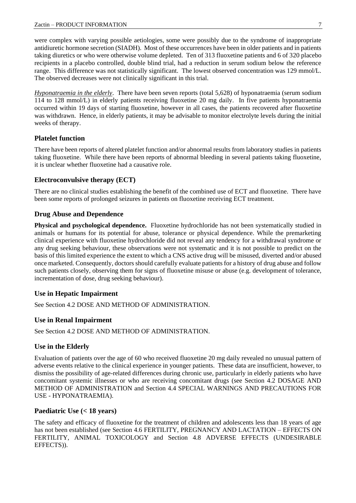were complex with varying possible aetiologies, some were possibly due to the syndrome of inappropriate antidiuretic hormone secretion (SIADH). Most of these occurrences have been in older patients and in patients taking diuretics or who were otherwise volume depleted. Ten of 313 fluoxetine patients and 6 of 320 placebo recipients in a placebo controlled, double blind trial, had a reduction in serum sodium below the reference range. This difference was not statistically significant. The lowest observed concentration was 129 mmol/L. The observed decreases were not clinically significant in this trial.

*Hyponatraemia in the elderly*. There have been seven reports (total 5,628) of hyponatraemia (serum sodium 114 to 128 mmol/L) in elderly patients receiving fluoxetine 20 mg daily. In five patients hyponatraemia occurred within 19 days of starting fluoxetine, however in all cases, the patients recovered after fluoxetine was withdrawn. Hence, in elderly patients, it may be advisable to monitor electrolyte levels during the initial weeks of therapy.

#### **Platelet function**

There have been reports of altered platelet function and/or abnormal results from laboratory studies in patients taking fluoxetine. While there have been reports of abnormal bleeding in several patients taking fluoxetine, it is unclear whether fluoxetine had a causative role.

#### **Electroconvulsive therapy (ECT)**

There are no clinical studies establishing the benefit of the combined use of ECT and fluoxetine. There have been some reports of prolonged seizures in patients on fluoxetine receiving ECT treatment.

#### **Drug Abuse and Dependence**

**Physical and psychological dependence.** Fluoxetine hydrochloride has not been systematically studied in animals or humans for its potential for abuse, tolerance or physical dependence. While the premarketing clinical experience with fluoxetine hydrochloride did not reveal any tendency for a withdrawal syndrome or any drug seeking behaviour, these observations were not systematic and it is not possible to predict on the basis of this limited experience the extent to which a CNS active drug will be misused, diverted and/or abused once marketed. Consequently, doctors should carefully evaluate patients for a history of drug abuse and follow such patients closely, observing them for signs of fluoxetine misuse or abuse (e.g. development of tolerance, incrementation of dose, drug seeking behaviour).

#### **Use in Hepatic Impairment**

See Section 4.2 DOSE AND METHOD OF ADMINISTRATION.

#### **Use in Renal Impairment**

See Section 4.2 DOSE AND METHOD OF ADMINISTRATION.

#### **Use in the Elderly**

Evaluation of patients over the age of 60 who received fluoxetine 20 mg daily revealed no unusual pattern of adverse events relative to the clinical experience in younger patients. These data are insufficient, however, to dismiss the possibility of age-related differences during chronic use, particularly in elderly patients who have concomitant systemic illnesses or who are receiving concomitant drugs (see Section 4.2 DOSAGE AND METHOD OF ADMINISTRATION and Section 4.4 SPECIAL WARNINGS AND PRECAUTIONS FOR USE - HYPONATRAEMIA).

#### **Paediatric Use (< 18 years)**

The safety and efficacy of fluoxetine for the treatment of children and adolescents less than 18 years of age has not been established (see Section 4.6 FERTILITY, PREGNANCY AND LACTATION – EFFECTS ON FERTILITY, ANIMAL TOXICOLOGY and Section 4.8 ADVERSE EFFECTS (UNDESIRABLE EFFECTS)).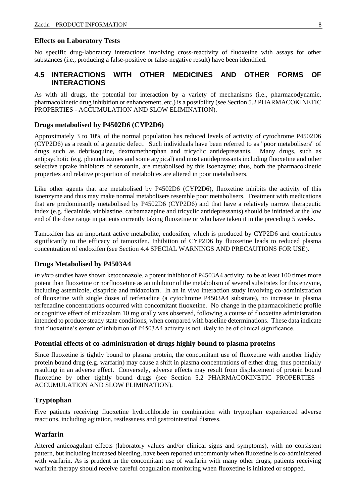#### **Effects on Laboratory Tests**

No specific drug-laboratory interactions involving cross-reactivity of fluoxetine with assays for other substances (i.e., producing a false-positive or false-negative result) have been identified.

### **4.5 INTERACTIONS WITH OTHER MEDICINES AND OTHER FORMS OF INTERACTIONS**

As with all drugs, the potential for interaction by a variety of mechanisms (i.e., pharmacodynamic, pharmacokinetic drug inhibition or enhancement, etc.) is a possibility (see Section 5.2 PHARMACOKINETIC PROPERTIES - ACCUMULATION AND SLOW ELIMINATION).

#### **Drugs metabolised by P4502D6 (CYP2D6)**

Approximately 3 to 10% of the normal population has reduced levels of activity of cytochrome P4502D6 (CYP2D6) as a result of a genetic defect. Such individuals have been referred to as "poor metabolisers" of drugs such as debrisoquine, dextromethorphan and tricyclic antidepressants. Many drugs, such as antipsychotic (e.g. phenothiazines and some atypical) and most antidepressants including fluoxetine and other selective uptake inhibitors of serotonin, are metabolised by this isoenzyme; thus, both the pharmacokinetic properties and relative proportion of metabolites are altered in poor metabolisers.

Like other agents that are metabolised by P4502D6 (CYP2D6), fluoxetine inhibits the activity of this isoenzyme and thus may make normal metabolisers resemble poor metabolisers. Treatment with medications that are predominantly metabolised by P4502D6 (CYP2D6) and that have a relatively narrow therapeutic index (e.g. flecainide, vinblastine, carbamazepine and tricyclic antidepressants) should be initiated at the low end of the dose range in patients currently taking fluoxetine or who have taken it in the preceding 5 weeks.

Tamoxifen has an important active metabolite, endoxifen, which is produced by CYP2D6 and contributes significantly to the efficacy of tamoxifen. Inhibition of CYP2D6 by fluoxetine leads to reduced plasma concentration of endoxifen (see Section 4.4 SPECIAL WARNINGS AND PRECAUTIONS FOR USE).

#### **Drugs Metabolised by P4503A4**

*In vitro* studies have shown ketoconazole, a potent inhibitor of P4503A4 activity, to be at least 100 times more potent than fluoxetine or norfluoxetine as an inhibitor of the metabolism of several substrates for this enzyme, including astemizole, cisapride and midazolam. In an in vivo interaction study involving co-administration of fluoxetine with single doses of terfenadine (a cytochrome P4503A4 substrate), no increase in plasma terfenadine concentrations occurred with concomitant fluoxetine. No change in the pharmacokinetic profile or cognitive effect of midazolam 10 mg orally was observed, following a course of fluoxetine administration intended to produce steady state conditions, when compared with baseline determinations. These data indicate that fluoxetine's extent of inhibition of P4503A4 activity is not likely to be of clinical significance.

#### **Potential effects of co-administration of drugs highly bound to plasma proteins**

Since fluoxetine is tightly bound to plasma protein, the concomitant use of fluoxetine with another highly protein bound drug (e.g. warfarin) may cause a shift in plasma concentrations of either drug, thus potentially resulting in an adverse effect. Conversely, adverse effects may result from displacement of protein bound fluoxetine by other tightly bound drugs (see Section 5.2 PHARMACOKINETIC PROPERTIES - ACCUMULATION AND SLOW ELIMINATION).

#### **Tryptophan**

Five patients receiving fluoxetine hydrochloride in combination with tryptophan experienced adverse reactions, including agitation, restlessness and gastrointestinal distress.

#### **Warfarin**

Altered anticoagulant effects (laboratory values and/or clinical signs and symptoms), with no consistent pattern, but including increased bleeding, have been reported uncommonly when fluoxetine is co-administered with warfarin. As is prudent in the concomitant use of warfarin with many other drugs, patients receiving warfarin therapy should receive careful coagulation monitoring when fluoxetine is initiated or stopped.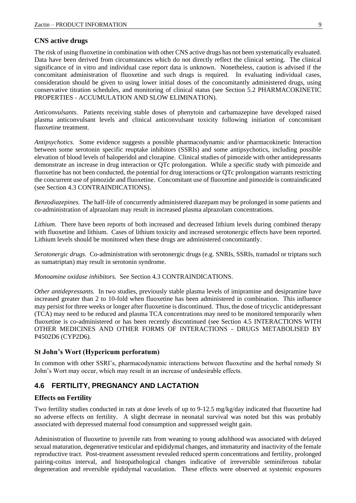#### **CNS active drugs**

The risk of using fluoxetine in combination with other CNS active drugs has not been systematically evaluated. Data have been derived from circumstances which do not directly reflect the clinical setting. The clinical significance of in vitro and individual case report data is unknown. Nonetheless, caution is advised if the concomitant administration of fluoxetine and such drugs is required. In evaluating individual cases, consideration should be given to using lower initial doses of the concomitantly administered drugs, using conservative titration schedules, and monitoring of clinical status (see Section 5.2 PHARMACOKINETIC PROPERTIES - ACCUMULATION AND SLOW ELIMINATION).

*Anticonvulsants.* Patients receiving stable doses of phenytoin and carbamazepine have developed raised plasma anticonvulsant levels and clinical anticonvulsant toxicity following initiation of concomitant fluoxetine treatment.

*Antipsychotics.* Some evidence suggests a possible pharmacodynamic and/or pharmacokinetic Interaction between some serotonin specific reuptake inhibitors (SSRIs) and some antipsychotics, including possible elevation of blood levels of haloperidol and clozapine. Clinical studies of pimozide with other antidepressants demonstrate an increase in drug interaction or QTc prolongation. While a specific study with pimozide and fluoxetine has not been conducted, the potential for drug interactions or QTc prolongation warrants restricting the concurrent use of pimozide and fluoxetine. Concomitant use of fluoxetine and pimozide is contraindicated (see Section 4.3 CONTRAINDICATIONS).

*Benzodiazepines.* The half-life of concurrently administered diazepam may be prolonged in some patients and co-administration of alprazolam may result in increased plasma alprazolam concentrations.

*Lithium*. There have been reports of both increased and decreased lithium levels during combined therapy with fluoxetine and lithium. Cases of lithium toxicity and increased serotonergic effects have been reported. Lithium levels should be monitored when these drugs are administered concomitantly.

*Serotonergic drugs.* Co-administration with serotonergic drugs (e.g. SNRIs, SSRIs, tramadol or triptans such as sumatriptan) may result in serotonin syndrome.

*Monoamine oxidase inhibitors.* See Section 4.3 CONTRAINDICATIONS.

*Other antidepressants.* In two studies, previously stable plasma levels of imipramine and desipramine have increased greater than 2 to 10-fold when fluoxetine has been administered in combination. This influence may persist for three weeks or longer after fluoxetine is discontinued. Thus, the dose of tricyclic antidepressant (TCA) may need to be reduced and plasma TCA concentrations may need to be monitored temporarily when fluoxetine is co-administered or has been recently discontinued (see Section 4.5 INTERACTIONS WITH OTHER MEDICINES AND OTHER FORMS OF INTERACTIONS - DRUGS METABOLISED BY P4502D6 (CYP2D6).

#### **St John's Wort (Hypericum perforatum)**

In common with other SSRI's, pharmacodynamic interactions between fluoxetine and the herbal remedy St John's Wort may occur, which may result in an increase of undesirable effects.

#### **4.6 FERTILITY, PREGNANCY AND LACTATION**

#### **Effects on Fertility**

Two fertility studies conducted in rats at dose levels of up to 9-12.5 mg/kg/day indicated that fluoxetine had no adverse effects on fertility. A slight decrease in neonatal survival was noted but this was probably associated with depressed maternal food consumption and suppressed weight gain.

Administration of fluoxetine to juvenile rats from weaning to young adulthood was associated with delayed sexual maturation, degenerative testicular and epididymal changes, and immaturity and inactivity of the female reproductive tract. Post-treatment assessment revealed reduced sperm concentrations and fertility, prolonged pairing-coitus interval, and histopathological changes indicative of irreversible seminiferous tubular degeneration and reversible epididymal vacuolation. These effects were observed at systemic exposures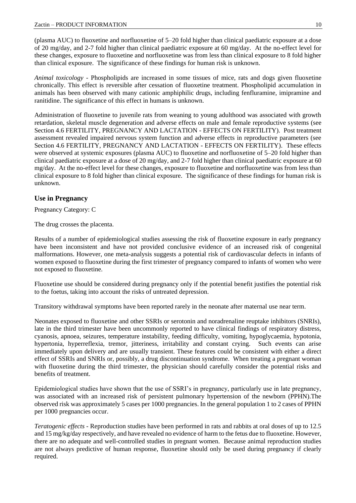(plasma AUC) to fluoxetine and norfluoxetine of 5–20 fold higher than clinical paediatric exposure at a dose of 20 mg/day, and 2-7 fold higher than clinical paediatric exposure at 60 mg/day. At the no-effect level for these changes, exposure to fluoxetine and norfluoxetine was from less than clinical exposure to 8 fold higher than clinical exposure. The significance of these findings for human risk is unknown.

*Animal toxicology* - Phospholipids are increased in some tissues of mice, rats and dogs given fluoxetine chronically. This effect is reversible after cessation of fluoxetine treatment. Phospholipid accumulation in animals has been observed with many cationic amphiphilic drugs, including fenfluramine, imipramine and ranitidine. The significance of this effect in humans is unknown.

Administration of fluoxetine to juvenile rats from weaning to young adulthood was associated with growth retardation, skeletal muscle degeneration and adverse effects on male and female reproductive systems (see Section 4.6 FERTILITY, PREGNANCY AND LACTATION - EFFECTS ON FERTILITY). Post treatment assessment revealed impaired nervous system function and adverse effects in reproductive parameters (see Section 4.6 FERTILITY, PREGNANCY AND LACTATION - EFFECTS ON FERTILITY). These effects were observed at systemic exposures (plasma AUC) to fluoxetine and norfluoxetine of 5–20 fold higher than clinical paediatric exposure at a dose of 20 mg/day, and 2-7 fold higher than clinical paediatric exposure at 60 mg/day. At the no-effect level for these changes, exposure to fluoxetine and norfluoxetine was from less than clinical exposure to 8 fold higher than clinical exposure. The significance of these findings for human risk is unknown.

#### **Use in Pregnancy**

Pregnancy Category: C

The drug crosses the placenta.

Results of a number of epidemiological studies assessing the risk of fluoxetine exposure in early pregnancy have been inconsistent and have not provided conclusive evidence of an increased risk of congenital malformations. However, one meta-analysis suggests a potential risk of cardiovascular defects in infants of women exposed to fluoxetine during the first trimester of pregnancy compared to infants of women who were not exposed to fluoxetine.

Fluoxetine use should be considered during pregnancy only if the potential benefit justifies the potential risk to the foetus, taking into account the risks of untreated depression.

Transitory withdrawal symptoms have been reported rarely in the neonate after maternal use near term.

Neonates exposed to fluoxetine and other SSRIs or serotonin and noradrenaline reuptake inhibitors (SNRIs), late in the third trimester have been uncommonly reported to have clinical findings of respiratory distress, cyanosis, apnoea, seizures, temperature instability, feeding difficulty, vomiting, hypoglycaemia, hypotonia, hypertonia, hyperreflexia, tremor, jitteriness, irritability and constant crying. Such events can arise immediately upon delivery and are usually transient. These features could be consistent with either a direct effect of SSRIs and SNRIs or, possibly, a drug discontinuation syndrome. When treating a pregnant woman with fluoxetine during the third trimester, the physician should carefully consider the potential risks and benefits of treatment.

Epidemiological studies have shown that the use of SSRI's in pregnancy, particularly use in late pregnancy, was associated with an increased risk of persistent pulmonary hypertension of the newborn (PPHN).The observed risk was approximately 5 cases per 1000 pregnancies. In the general population 1 to 2 cases of PPHN per 1000 pregnancies occur.

*Teratogenic effects* - Reproduction studies have been performed in rats and rabbits at oral doses of up to 12.5 and 15 mg/kg/day respectively, and have revealed no evidence of harm to the fetus due to fluoxetine. However, there are no adequate and well-controlled studies in pregnant women. Because animal reproduction studies are not always predictive of human response, fluoxetine should only be used during pregnancy if clearly required.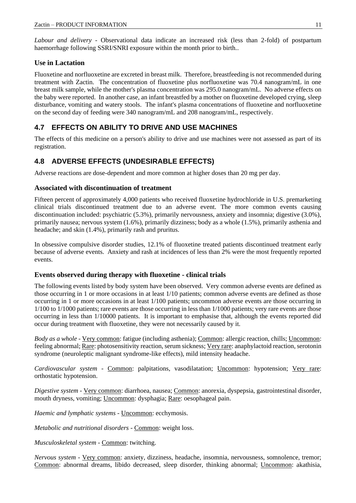*Labour and delivery* - Observational data indicate an increased risk (less than 2-fold) of postpartum haemorrhage following SSRI/SNRI exposure within the month prior to birth..

#### **Use in Lactation**

Fluoxetine and norfluoxetine are excreted in breast milk. Therefore, breastfeeding is not recommended during treatment with Zactin. The concentration of fluoxetine plus norfluoxetine was 70.4 nanogram/mL in one breast milk sample, while the mother's plasma concentration was 295.0 nanogram/mL. No adverse effects on the baby were reported. In another case, an infant breastfed by a mother on fluoxetine developed crying, sleep disturbance, vomiting and watery stools. The infant's plasma concentrations of fluoxetine and norfluoxetine on the second day of feeding were 340 nanogram/mL and 208 nanogram/mL, respectively.

### **4.7 EFFECTS ON ABILITY TO DRIVE AND USE MACHINES**

The effects of this medicine on a person's ability to drive and use machines were not assessed as part of its registration.

### **4.8 ADVERSE EFFECTS (UNDESIRABLE EFFECTS)**

Adverse reactions are dose-dependent and more common at higher doses than 20 mg per day.

#### **Associated with discontinuation of treatment**

Fifteen percent of approximately 4,000 patients who received fluoxetine hydrochloride in U.S. premarketing clinical trials discontinued treatment due to an adverse event. The more common events causing discontinuation included: psychiatric (5.3%), primarily nervousness, anxiety and insomnia; digestive (3.0%), primarily nausea; nervous system (1.6%), primarily dizziness; body as a whole (1.5%), primarily asthenia and headache; and skin (1.4%), primarily rash and pruritus.

In obsessive compulsive disorder studies, 12.1% of fluoxetine treated patients discontinued treatment early because of adverse events. Anxiety and rash at incidences of less than 2% were the most frequently reported events.

#### **Events observed during therapy with fluoxetine - clinical trials**

The following events listed by body system have been observed. Very common adverse events are defined as those occurring in 1 or more occasions in at least 1/10 patients; common adverse events are defined as those occurring in 1 or more occasions in at least 1/100 patients; uncommon adverse events are those occurring in 1/100 to 1/1000 patients; rare events are those occurring in less than 1/1000 patients; very rare events are those occurring in less than 1/10000 patients. It is important to emphasise that, although the events reported did occur during treatment with fluoxetine, they were not necessarily caused by it.

*Body as a whole* - Very common: fatigue (including asthenia); Common: allergic reaction, chills; Uncommon: feeling abnormal; Rare: photosensitivity reaction, serum sickness; Very rare: anaphylactoid reaction, serotonin syndrome (neuroleptic malignant syndrome-like effects), mild intensity headache.

*Cardiovascular system* - Common: palpitations, vasodilatation; Uncommon: hypotension; Very rare: orthostatic hypotension.

*Digestive system* - Very common: diarrhoea, nausea; Common: anorexia, dyspepsia, gastrointestinal disorder, mouth dryness, vomiting; Uncommon: dysphagia; Rare: oesophageal pain.

*Haemic and lymphatic systems* - Uncommon: ecchymosis.

*Metabolic and nutritional disorders* - Common: weight loss.

*Musculoskeletal system* - Common: twitching.

*Nervous system -* Very common: anxiety, dizziness, headache, insomnia, nervousness, somnolence, tremor; Common: abnormal dreams, libido decreased, sleep disorder, thinking abnormal; Uncommon: akathisia,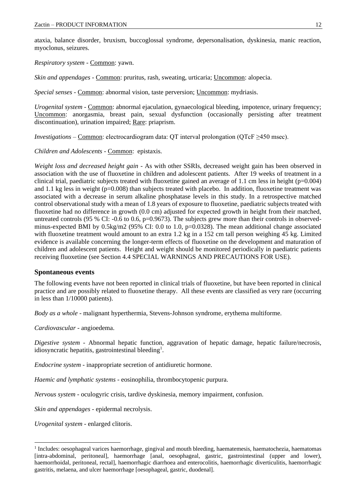ataxia, balance disorder, bruxism, buccoglossal syndrome, depersonalisation, dyskinesia, manic reaction, myoclonus, seizures.

*Respiratory system* - Common: yawn.

*Skin and appendages* - Common: pruritus, rash, sweating, urticaria; Uncommon: alopecia.

*Special senses* - Common: abnormal vision, taste perversion; Uncommon: mydriasis.

*Urogenital system* - Common: abnormal ejaculation, gynaecological bleeding, impotence, urinary frequency; Uncommon: anorgasmia, breast pain, sexual dysfunction (occasionally persisting after treatment discontinuation), urination impaired; Rare: priaprism.

*Investigations* – <u>Common</u>: electrocardiogram data: QT interval prolongation (QTcF ≥450 msec).

*Children and Adolescents* - Common: epistaxis.

*Weight loss and decreased height gain* - As with other SSRIs, decreased weight gain has been observed in association with the use of fluoxetine in children and adolescent patients. After 19 weeks of treatment in a clinical trial, paediatric subjects treated with fluoxetine gained an average of 1.1 cm less in height ( $p=0.004$ ) and 1.1 kg less in weight  $(p=0.008)$  than subjects treated with placebo. In addition, fluoxetine treatment was associated with a decrease in serum alkaline phosphatase levels in this study. In a retrospective matched control observational study with a mean of 1.8 years of exposure to fluoxetine, paediatric subjects treated with fluoxetine had no difference in growth (0.0 cm) adjusted for expected growth in height from their matched, untreated controls (95 % CI:  $-0.6$  to 0.6, p=0.9673). The subjects grew more than their controls in observedminus-expected BMI by 0.5kg/m2 (95% CI: 0.0 to 1.0, p=0.0328). The mean additional change associated with fluoxetine treatment would amount to an extra 1.2 kg in a 152 cm tall person weighing 45 kg. Limited evidence is available concerning the longer-term effects of fluoxetine on the development and maturation of children and adolescent patients. Height and weight should be monitored periodically in paediatric patients receiving fluoxetine (see Section 4.4 SPECIAL WARNINGS AND PRECAUTIONS FOR USE).

#### **Spontaneous events**

The following events have not been reported in clinical trials of fluoxetine, but have been reported in clinical practice and are possibly related to fluoxetine therapy. All these events are classified as very rare (occurring in less than 1/10000 patients).

*Body as a whole* - malignant hyperthermia, Stevens-Johnson syndrome, erythema multiforme.

*Cardiovascular -* angioedema.

*Digestive system -* Abnormal hepatic function, aggravation of hepatic damage, hepatic failure/necrosis, idiosyncratic hepatitis, gastrointestinal bleeding<sup>1</sup>.

*Endocrine system* - inappropriate secretion of antidiuretic hormone.

*Haemic and lymphatic systems* - eosinophilia, thrombocytopenic purpura.

*Nervous system* - oculogyric crisis, tardive dyskinesia, memory impairment, confusion.

*Skin and appendages* - epidermal necrolysis.

*Urogenital system* - enlarged clitoris.

<sup>&</sup>lt;sup>1</sup> Includes: oesophageal varices haemorrhage, gingival and mouth bleeding, haematemesis, haematochezia, haematomas [intra-abdominal, peritoneal], haemorrhage [anal, oesophageal, gastric, gastrointestinal (upper and lower), haemorrhoidal, peritoneal, rectal], haemorrhagic diarrhoea and enterocolitis, haemorrhagic diverticulitis, haemorrhagic gastritis, melaena, and ulcer haemorrhage [oesophageal, gastric, duodenal].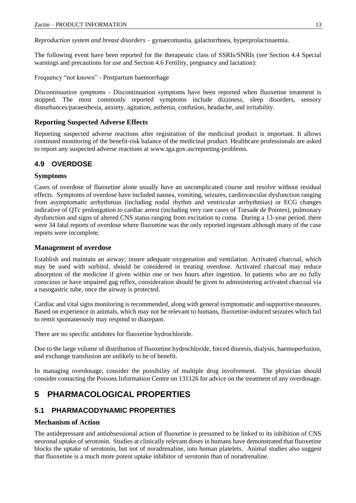*Reproduction system and breast disorders* – gynaecomastia, galactorrhoea, hyperprolactinaemia.

The following event have been reported for the therapeutic class of SSRIs/SNRIs (see Section 4.4 Special warnings and precautions for use and Section 4.6 Fertility, pregnancy and lactation):

Frequency "not known" - Postpartum haemorrhage

*Discontinuation symptoms -* Discontinuation symptoms have been reported when fluoxetine treatment is stopped. The most commonly reported symptoms include dizziness, sleep disorders, sensory disturbances/paraesthesia, anxiety, agitation, asthenia, confusion, headache, and irritability.

#### **Reporting Suspected Adverse Effects**

Reporting suspected adverse reactions after registration of the medicinal product is important. It allows continued monitoring of the benefit-risk balance of the medicinal product. Healthcare professionals are asked to report any suspected adverse reactions at [www.tga.gov.au/reporting-problems.](http://www.tga.gov.au/reporting-problems)

### **4.9 OVERDOSE**

#### **Symptoms**

Cases of overdose of fluoxetine alone usually have an uncomplicated course and resolve without residual effects. Symptoms of overdose have included nausea, vomiting, seizures, cardiovascular dysfunction ranging from asymptomatic arrhythmias (including nodal rhythm and ventricular arrhythmias) or ECG changes indicative of QTc prolongation to cardiac arrest (including very rare cases of Torsade de Pointes), pulmonary dysfunction and signs of altered CNS status ranging from excitation to coma. During a 13-year period, there were 34 fatal reports of overdose where fluoxetine was the only reported ingestant although many of the case reports were incomplete.

#### **Management of overdose**

Establish and maintain an airway; insure adequate oxygenation and ventilation. Activated charcoal, which may be used with sorbitol, should be considered in treating overdose. Activated charcoal may reduce absorption of the medicine if given within one or two hours after ingestion. In patients who are no fully conscious or have impaired gag reflex, consideration should be given to administering activated charcoal via a nasogastric tube, once the airway is protected.

Cardiac and vital signs monitoring is recommended, along with general symptomatic and supportive measures. Based on experience in animals, which may not be relevant to humans, fluoxetine-induced seizures which fail to remit spontaneously may respond to diazepam.

There are no specific antidotes for fluoxetine hydrochloride.

Due to the large volume of distribution of fluoxetine hydrochloride, forced diuresis, dialysis, haemoperfusion, and exchange transfusion are unlikely to be of benefit.

In managing overdosage, consider the possibility of multiple drug involvement. The physician should consider contacting the Poisons Information Centre on 131126 for advice on the treatment of any overdosage.

# **5 PHARMACOLOGICAL PROPERTIES**

### **5.1 PHARMACODYNAMIC PROPERTIES**

#### **Mechanism of Action**

The antidepressant and antiobsessional action of fluoxetine is presumed to be linked to its inhibition of CNS neuronal uptake of serotonin. Studies at clinically relevant doses in humans have demonstrated that fluoxetine blocks the uptake of serotonin, but not of noradrenaline, into human platelets. Animal studies also suggest that fluoxetine is a much more potent uptake inhibitor of serotonin than of noradrenaline.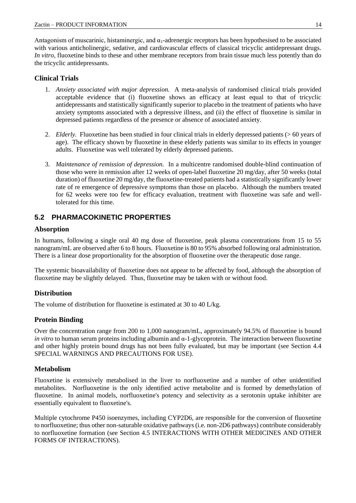Antagonism of muscarinic, histaminergic, and  $\alpha_1$ -adrenergic receptors has been hypothesised to be associated with various anticholinergic, sedative, and cardiovascular effects of classical tricyclic antidepressant drugs. *In vitro*, fluoxetine binds to these and other membrane receptors from brain tissue much less potently than do the tricyclic antidepressants.

#### **Clinical Trials**

- 1. *Anxiety associated with major depression.* A meta-analysis of randomised clinical trials provided acceptable evidence that (i) fluoxetine shows an efficacy at least equal to that of tricyclic antidepressants and statistically significantly superior to placebo in the treatment of patients who have anxiety symptoms associated with a depressive illness, and (ii) the effect of fluoxetine is similar in depressed patients regardless of the presence or absence of associated anxiety.
- 2. *Elderly.* Fluoxetine has been studied in four clinical trials in elderly depressed patients (> 60 years of age). The efficacy shown by fluoxetine in these elderly patients was similar to its effects in younger adults. Fluoxetine was well tolerated by elderly depressed patients.
- 3. *Maintenance of remission of depression.* In a multicentre randomised double-blind continuation of those who were in remission after 12 weeks of open-label fluoxetine 20 mg/day, after 50 weeks (total duration) of fluoxetine 20 mg/day, the fluoxetine-treated patients had a statistically significantly lower rate of re emergence of depressive symptoms than those on placebo. Although the numbers treated for 62 weeks were too few for efficacy evaluation, treatment with fluoxetine was safe and welltolerated for this time.

### **5.2 PHARMACOKINETIC PROPERTIES**

#### **Absorption**

In humans, following a single oral 40 mg dose of fluoxetine, peak plasma concentrations from 15 to 55 nanogram/mL are observed after 6 to 8 hours. Fluoxetine is 80 to 95% absorbed following oral administration. There is a linear dose proportionality for the absorption of fluoxetine over the therapeutic dose range.

The systemic bioavailability of fluoxetine does not appear to be affected by food, although the absorption of fluoxetine may be slightly delayed. Thus, fluoxetine may be taken with or without food.

#### **Distribution**

The volume of distribution for fluoxetine is estimated at 30 to 40 L/kg.

### **Protein Binding**

Over the concentration range from 200 to 1,000 nanogram/mL, approximately 94.5% of fluoxetine is bound *in vitro* to human serum proteins including albumin and α-1-glycoprotein. The interaction between fluoxetine and other highly protein bound drugs has not been fully evaluated, but may be important (see Section 4.4 SPECIAL WARNINGS AND PRECAUTIONS FOR USE).

#### **Metabolism**

Fluoxetine is extensively metabolised in the liver to norfluoxetine and a number of other unidentified metabolites. Norfluoxetine is the only identified active metabolite and is formed by demethylation of fluoxetine. In animal models, norfluoxetine's potency and selectivity as a serotonin uptake inhibiter are essentially equivalent to fluoxetine's.

Multiple cytochrome P450 isoenzymes, including CYP2D6, are responsible for the conversion of fluoxetine to norfluoxetine; thus other non-saturable oxidative pathways (i.e. non-2D6 pathways) contribute considerably to norfluoxetine formation (see Section 4.5 INTERACTIONS WITH OTHER MEDICINES AND OTHER FORMS OF INTERACTIONS).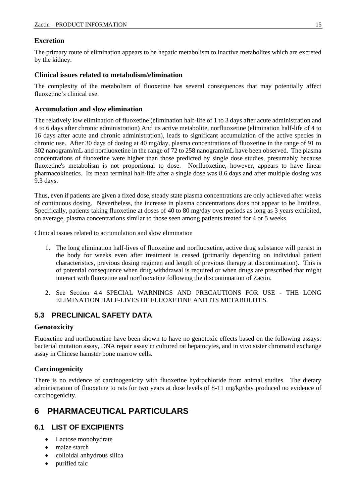#### **Excretion**

The primary route of elimination appears to be hepatic metabolism to inactive metabolites which are excreted by the kidney.

#### **Clinical issues related to metabolism/elimination**

The complexity of the metabolism of fluoxetine has several consequences that may potentially affect fluoxetine's clinical use.

#### **Accumulation and slow elimination**

The relatively low elimination of fluoxetine (elimination half-life of 1 to 3 days after acute administration and 4 to 6 days after chronic administration) And its active metabolite, norfluoxetine (elimination half-life of 4 to 16 days after acute and chronic administration), leads to significant accumulation of the active species in chronic use. After 30 days of dosing at 40 mg/day, plasma concentrations of fluoxetine in the range of 91 to 302 nanogram/mL and norfluoxetine in the range of 72 to 258 nanogram/mL have been observed. The plasma concentrations of fluoxetine were higher than those predicted by single dose studies, presumably because fluoxetine's metabolism is not proportional to dose. Norfluoxetine, however, appears to have linear pharmacokinetics. Its mean terminal half-life after a single dose was 8.6 days and after multiple dosing was 9.3 days.

Thus, even if patients are given a fixed dose, steady state plasma concentrations are only achieved after weeks of continuous dosing. Nevertheless, the increase in plasma concentrations does not appear to be limitless. Specifically, patients taking fluoxetine at doses of 40 to 80 mg/day over periods as long as 3 years exhibited, on average, plasma concentrations similar to those seen among patients treated for 4 or 5 weeks.

Clinical issues related to accumulation and slow elimination

- 1. The long elimination half-lives of fluoxetine and norfluoxetine, active drug substance will persist in the body for weeks even after treatment is ceased (primarily depending on individual patient characteristics, previous dosing regimen and length of previous therapy at discontinuation). This is of potential consequence when drug withdrawal is required or when drugs are prescribed that might interact with fluoxetine and norfluoxetine following the discontinuation of Zactin.
- 2. See Section 4.4 SPECIAL WARNINGS AND PRECAUTIONS FOR USE THE LONG ELIMINATION HALF-LIVES OF FLUOXETINE AND ITS METABOLITES.

### **5.3 PRECLINICAL SAFETY DATA**

#### **Genotoxicity**

Fluoxetine and norfluoxetine have been shown to have no genotoxic effects based on the following assays: bacterial mutation assay, DNA repair assay in cultured rat hepatocytes, and in vivo sister chromatid exchange assay in Chinese hamster bone marrow cells.

### **Carcinogenicity**

There is no evidence of carcinogenicity with fluoxetine hydrochloride from animal studies. The dietary administration of fluoxetine to rats for two years at dose levels of 8-11 mg/kg/day produced no evidence of carcinogenicity.

# **6 PHARMACEUTICAL PARTICULARS**

### **6.1 LIST OF EXCIPIENTS**

- Lactose monohydrate
- maize starch
- colloidal anhydrous silica
- purified talc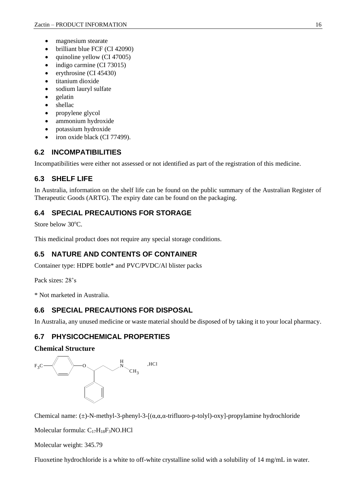- magnesium stearate
- brilliant blue FCF (CI 42090)
- quinoline yellow (CI 47005)
- indigo carmine (CI 73015)
- erythrosine (CI 45430)
- titanium dioxide
- sodium lauryl sulfate
- gelatin
- shellac
- propylene glycol
- ammonium hydroxide
- potassium hydroxide
- iron oxide black (CI 77499).

### **6.2 INCOMPATIBILITIES**

Incompatibilities were either not assessed or not identified as part of the registration of this medicine.

### **6.3 SHELF LIFE**

In Australia, information on the shelf life can be found on the public summary of the Australian Register of Therapeutic Goods (ARTG). The expiry date can be found on the packaging.

### **6.4 SPECIAL PRECAUTIONS FOR STORAGE**

Store below  $30^{\circ}$ C.

This medicinal product does not require any special storage conditions.

### **6.5 NATURE AND CONTENTS OF CONTAINER**

Container type: HDPE bottle\* and PVC/PVDC/Al blister packs

Pack sizes: 28's

\* Not marketed in Australia.

### **6.6 SPECIAL PRECAUTIONS FOR DISPOSAL**

In Australia, any unused medicine or waste material should be disposed of by taking it to your local pharmacy.

### **6.7 PHYSICOCHEMICAL PROPERTIES**

#### **Chemical Structure**



Chemical name:  $(\pm)$ -N-methyl-3-phenyl-3-[( $\alpha, \alpha, \alpha$ -trifluoro-p-tolyl)-oxy]-propylamine hydrochloride

Molecular formula:  $C_{17}H_{18}F_3NO.HCl$ 

Molecular weight: 345.79

Fluoxetine hydrochloride is a white to off-white crystalline solid with a solubility of 14 mg/mL in water.